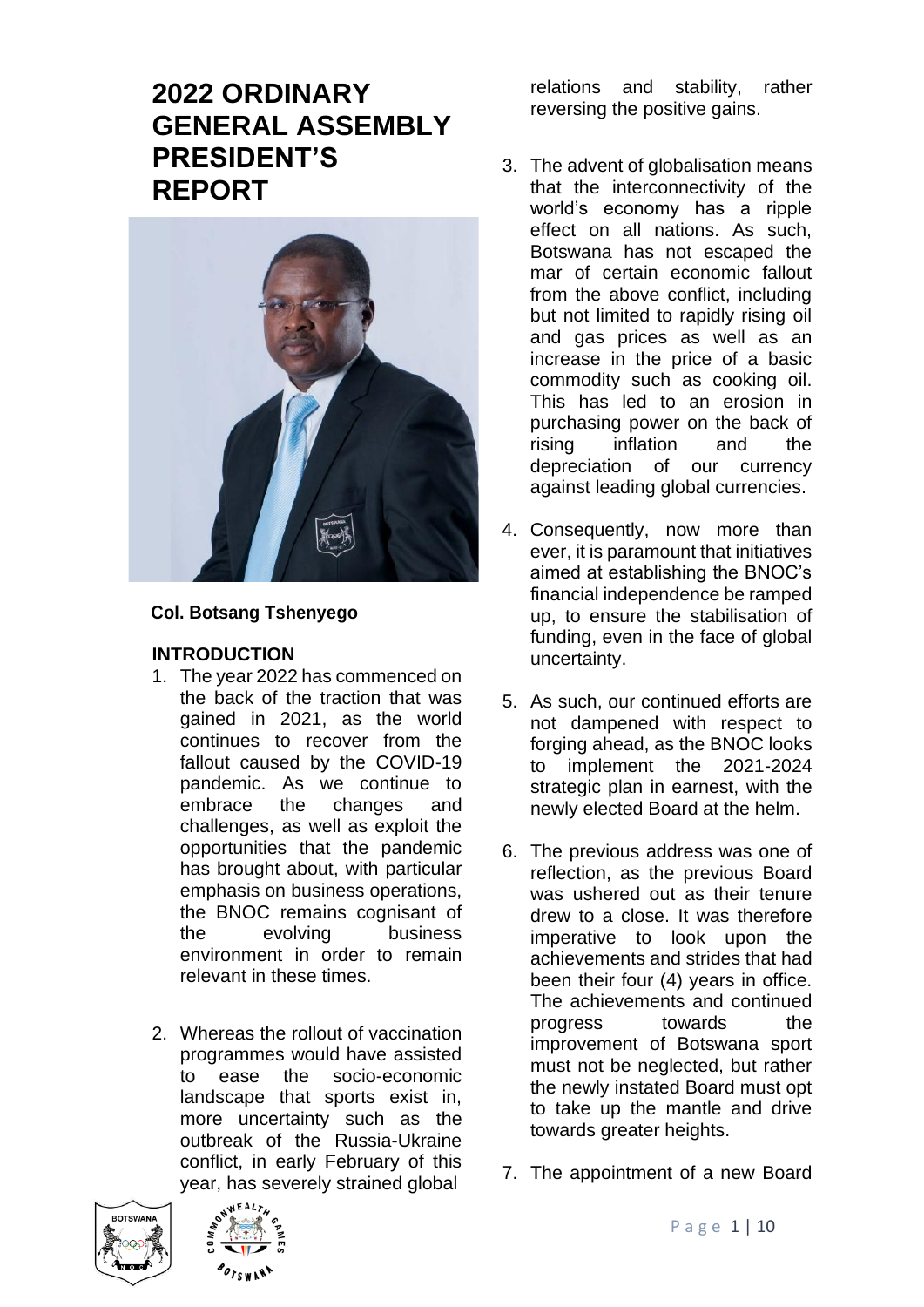# **2022 ORDINARY GENERAL ASSEMBLY PRESIDENT'S REPORT**



#### **Col. Botsang Tshenyego**

#### **INTRODUCTION**

- 1. The year 2022 has commenced on the back of the traction that was gained in 2021, as the world continues to recover from the fallout caused by the COVID-19 pandemic. As we continue to embrace the changes and challenges, as well as exploit the opportunities that the pandemic has brought about, with particular emphasis on business operations, the BNOC remains cognisant of the evolving business environment in order to remain relevant in these times.
- 2. Whereas the rollout of vaccination programmes would have assisted to ease the socio-economic landscape that sports exist in, more uncertainty such as the outbreak of the Russia-Ukraine conflict, in early February of this year, has severely strained global





relations and stability, rather reversing the positive gains.

- 3. The advent of globalisation means that the interconnectivity of the world's economy has a ripple effect on all nations. As such, Botswana has not escaped the mar of certain economic fallout from the above conflict, including but not limited to rapidly rising oil and gas prices as well as an increase in the price of a basic commodity such as cooking oil. This has led to an erosion in purchasing power on the back of rising inflation and the depreciation of our currency against leading global currencies.
- 4. Consequently, now more than ever, it is paramount that initiatives aimed at establishing the BNOC's financial independence be ramped up, to ensure the stabilisation of funding, even in the face of global uncertainty.
- 5. As such, our continued efforts are not dampened with respect to forging ahead, as the BNOC looks to implement the 2021-2024 strategic plan in earnest, with the newly elected Board at the helm.
- 6. The previous address was one of reflection, as the previous Board was ushered out as their tenure drew to a close. It was therefore imperative to look upon the achievements and strides that had been their four (4) years in office. The achievements and continued progress towards the improvement of Botswana sport must not be neglected, but rather the newly instated Board must opt to take up the mantle and drive towards greater heights.
- 7. The appointment of a new Board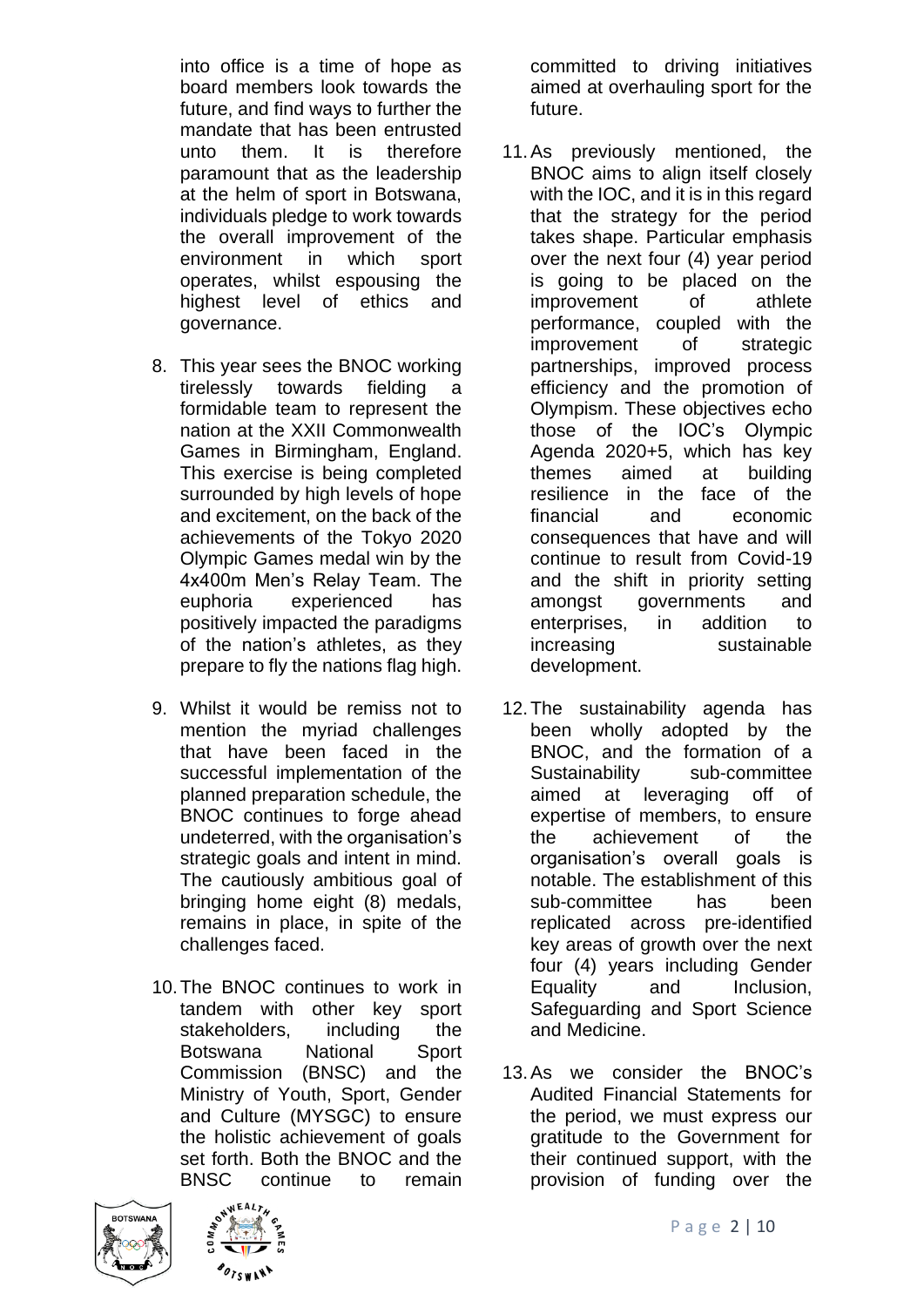into office is a time of hope as board members look towards the future, and find ways to further the mandate that has been entrusted unto them. It is therefore paramount that as the leadership at the helm of sport in Botswana, individuals pledge to work towards the overall improvement of the environment in which sport operates, whilst espousing the highest level of ethics and governance.

- 8. This year sees the BNOC working tirelessly towards fielding a formidable team to represent the nation at the XXII Commonwealth Games in Birmingham, England. This exercise is being completed surrounded by high levels of hope and excitement, on the back of the achievements of the Tokyo 2020 Olympic Games medal win by the 4x400m Men's Relay Team. The euphoria experienced has positively impacted the paradigms of the nation's athletes, as they prepare to fly the nations flag high.
- 9. Whilst it would be remiss not to mention the myriad challenges that have been faced in the successful implementation of the planned preparation schedule, the BNOC continues to forge ahead undeterred, with the organisation's strategic goals and intent in mind. The cautiously ambitious goal of bringing home eight (8) medals, remains in place, in spite of the challenges faced.
- 10.The BNOC continues to work in tandem with other key sport stakeholders, including the Botswana National Sport Commission (BNSC) and the Ministry of Youth, Sport, Gender and Culture (MYSGC) to ensure the holistic achievement of goals set forth. Both the BNOC and the BNSC continue to remain





committed to driving initiatives aimed at overhauling sport for the future.

- 11.As previously mentioned, the BNOC aims to align itself closely with the IOC, and it is in this regard that the strategy for the period takes shape. Particular emphasis over the next four (4) year period is going to be placed on the improvement of athlete performance, coupled with the improvement of strategic partnerships, improved process efficiency and the promotion of Olympism. These objectives echo those of the IOC's Olympic Agenda 2020+5, which has key themes aimed at building resilience in the face of the financial and economic consequences that have and will continue to result from Covid-19 and the shift in priority setting amongst governments and enterprises, in addition to increasing sustainable development.
- 12.The sustainability agenda has been wholly adopted by the BNOC, and the formation of a Sustainability sub-committee aimed at leveraging off of expertise of members, to ensure the achievement of the organisation's overall goals is notable. The establishment of this sub-committee has been replicated across pre-identified key areas of growth over the next four (4) years including Gender Equality and Inclusion, Safeguarding and Sport Science and Medicine.
- 13.As we consider the BNOC's Audited Financial Statements for the period, we must express our gratitude to the Government for their continued support, with the provision of funding over the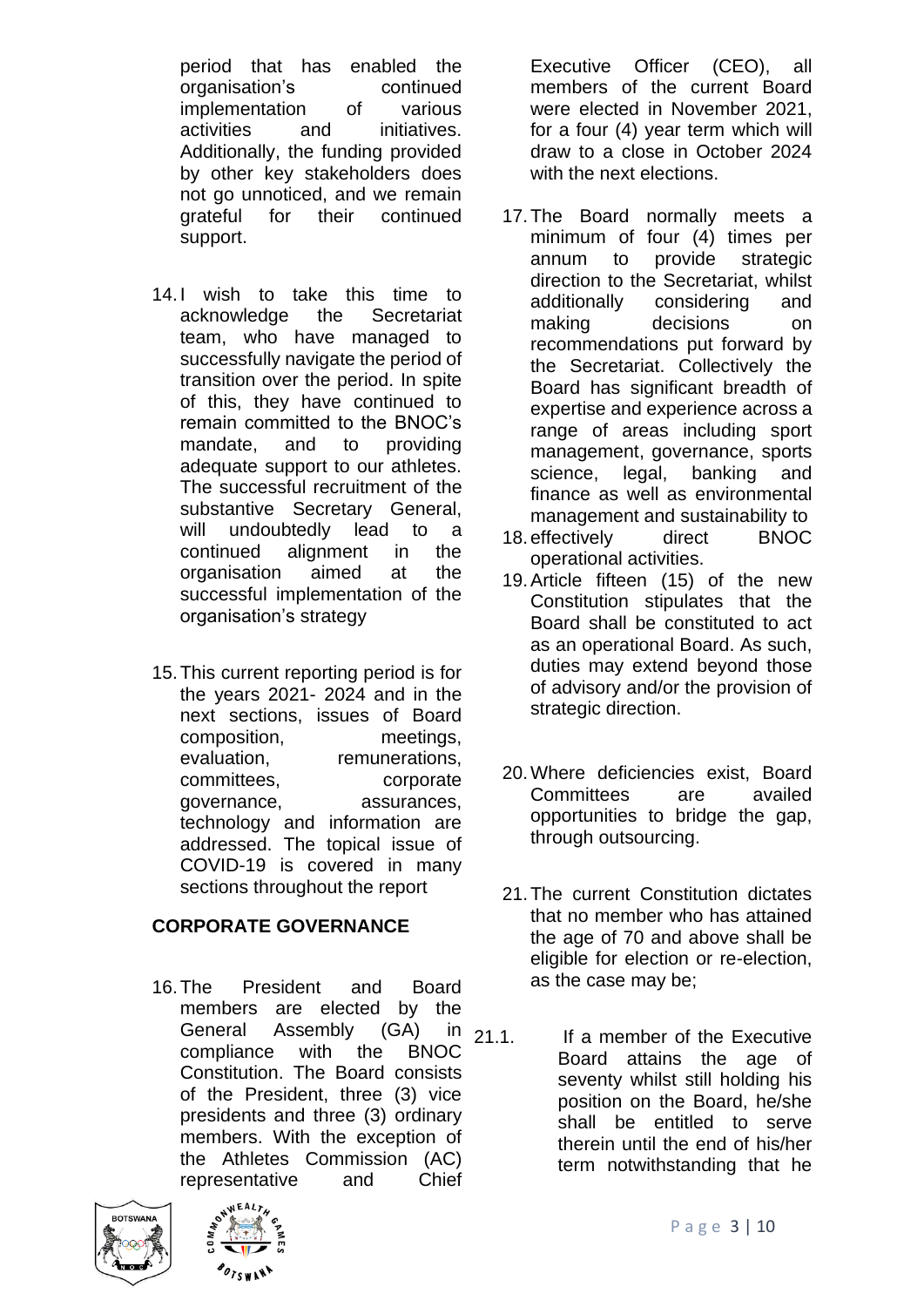period that has enabled the organisation's continued implementation of various activities and initiatives. Additionally, the funding provided by other key stakeholders does not go unnoticed, and we remain grateful for their continued support.

- 14.I wish to take this time to acknowledge the Secretariat team, who have managed to successfully navigate the period of transition over the period. In spite of this, they have continued to remain committed to the BNOC's mandate, and to providing adequate support to our athletes. The successful recruitment of the substantive Secretary General, will undoubtedly lead to a continued alignment in the organisation aimed at the successful implementation of the organisation's strategy
- 15.This current reporting period is for the years 2021- 2024 and in the next sections, issues of Board composition, meetings, evaluation, remunerations, committees, corporate governance, assurances, technology and information are addressed. The topical issue of COVID-19 is covered in many sections throughout the report

### **CORPORATE GOVERNANCE**

16.The President and Board members are elected by the General Assembly (GA) in 21.1. compliance with the BNOC Constitution. The Board consists of the President, three (3) vice presidents and three (3) ordinary members. With the exception of the Athletes Commission (AC) representative and Chief





Executive Officer (CEO), all members of the current Board were elected in November 2021, for a four (4) year term which will draw to a close in October 2024 with the next elections.

- 17.The Board normally meets a minimum of four (4) times per annum to provide strategic direction to the Secretariat, whilst additionally considering and making decisions on recommendations put forward by the Secretariat. Collectively the Board has significant breadth of expertise and experience across a range of areas including sport management, governance, sports science, legal, banking and finance as well as environmental management and sustainability to
- 18.effectively direct BNOC operational activities.
- 19.Article fifteen (15) of the new Constitution stipulates that the Board shall be constituted to act as an operational Board. As such, duties may extend beyond those of advisory and/or the provision of strategic direction.
- 20.Where deficiencies exist, Board Committees are availed opportunities to bridge the gap, through outsourcing.
- 21.The current Constitution dictates that no member who has attained the age of 70 and above shall be eligible for election or re-election, as the case may be;
- If a member of the Executive Board attains the age of seventy whilst still holding his position on the Board, he/she shall be entitled to serve therein until the end of his/her term notwithstanding that he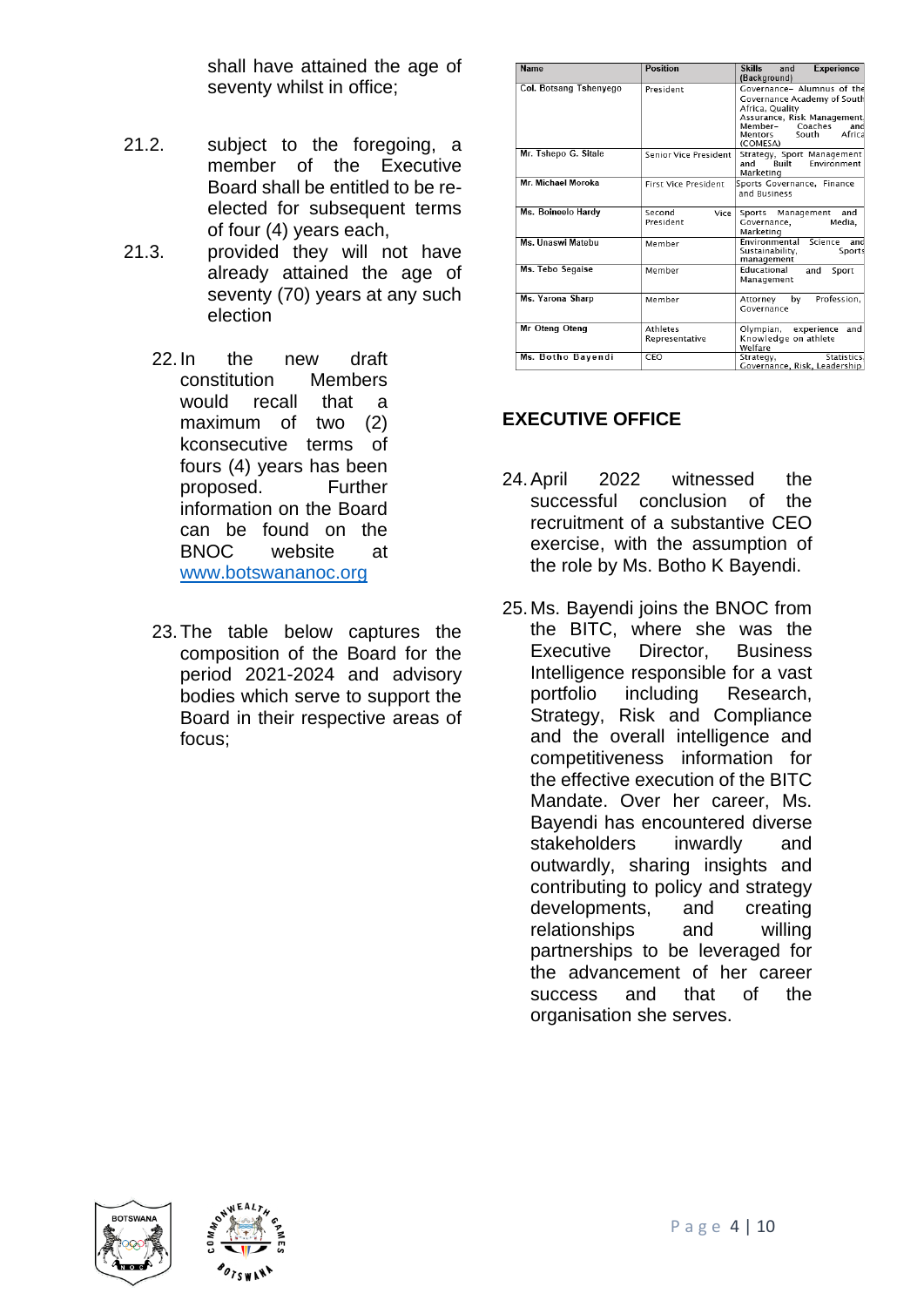shall have attained the age of seventy whilst in office;

- 21.2. subject to the foregoing, a member of the Executive Board shall be entitled to be reelected for subsequent terms of four (4) years each,
- 21.3. provided they will not have already attained the age of seventy (70) years at any such election
	- 22.In the new draft constitution Members would recall that a maximum of two (2) kconsecutive terms of fours (4) years has been proposed. Further information on the Board can be found on the BNOC website at [www.botswananoc.org](http://www.botswananoc.org/)
	- 23.The table below captures the composition of the Board for the period 2021-2024 and advisory bodies which serve to support the Board in their respective areas of focus;

| Name                   | <b>Position</b>                   | Skills<br>Experience<br>and                                                                                                                                                    |
|------------------------|-----------------------------------|--------------------------------------------------------------------------------------------------------------------------------------------------------------------------------|
|                        |                                   | (Background)                                                                                                                                                                   |
| Col. Botsang Tshenyego | President                         | Governance- Alumnus of the<br>Governance Academy of South<br>Africa, Quality<br>Assurance, Risk Management<br>Coaches<br>Member–<br>and<br>Africa<br>Mentors South<br>(COMESA) |
| Mr. Tshepo G. Sitale   | Senior Vice President             | Strategy, Sport Management<br>Environment<br>Ruilt<br>and<br>Marketing                                                                                                         |
| Mr. Michael Moroka     | <b>First Vice President</b>       | Sports Governance, Finance<br>and Business                                                                                                                                     |
| Ms. Boineelo Hardy     | Second<br>Vice<br>President       | Sports Management<br>and<br>Governance,<br>Media.<br>Marketing                                                                                                                 |
| Ms. Unaswi Matebu      | Member                            | Science and<br>Fnvironmental<br>Sustainability,<br>Sports<br>management                                                                                                        |
| Ms. Tebo Segaise       | Member                            | Educational<br>and<br>Sport<br>Management                                                                                                                                      |
| Ms. Yarona Sharp       | Member                            | Profession.<br>by<br>Attorney<br>Governance                                                                                                                                    |
| Mr Oteng Oteng         | <b>Athletes</b><br>Representative | Olympian, experience<br>and<br>Knowledge on athlete<br>Welfare                                                                                                                 |
| Ms. Botho Bayendi      | CEO                               | Statistics.<br>Strategy,<br>Governance, Risk, Leadership                                                                                                                       |

# **EXECUTIVE OFFICE**

- 24.April 2022 witnessed the successful conclusion of the recruitment of a substantive CEO exercise, with the assumption of the role by Ms. Botho K Bayendi.
- 25.Ms. Bayendi joins the BNOC from the BITC, where she was the Executive Director, Business Intelligence responsible for a vast portfolio including Research, Strategy, Risk and Compliance and the overall intelligence and competitiveness information for the effective execution of the BITC Mandate. Over her career, Ms. Bayendi has encountered diverse stakeholders inwardly and outwardly, sharing insights and contributing to policy and strategy developments, and creating relationships and willing partnerships to be leveraged for the advancement of her career success and that of the organisation she serves.



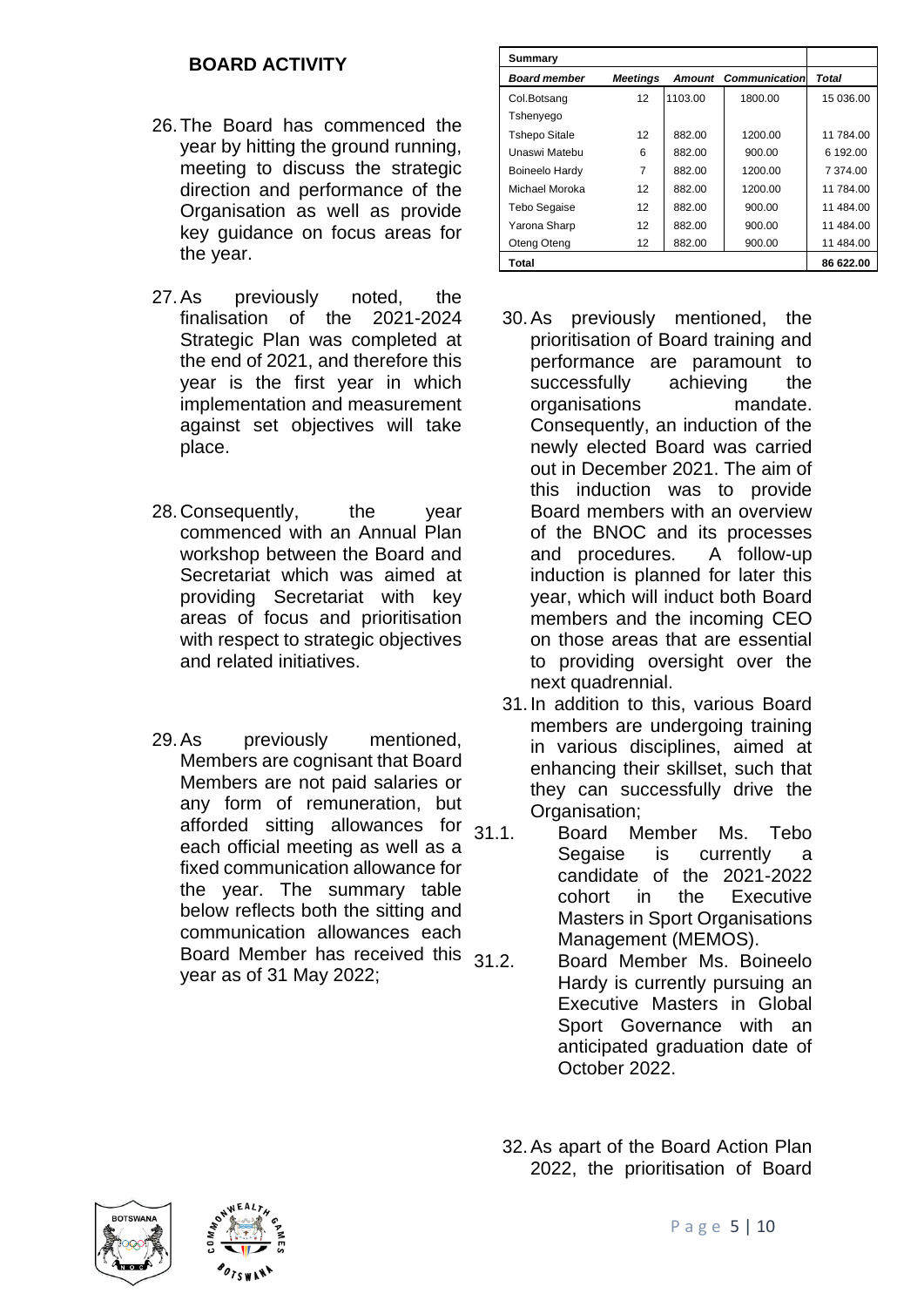### **BOARD ACTIVITY**

- 26.The Board has commenced the year by hitting the ground running, meeting to discuss the strategic direction and performance of the Organisation as well as provide key guidance on focus areas for the year.
- 27.As previously noted, the finalisation of the 2021-2024 Strategic Plan was completed at the end of 2021, and therefore this year is the first year in which implementation and measurement against set objectives will take place.
- 28.Consequently, the year commenced with an Annual Plan workshop between the Board and Secretariat which was aimed at providing Secretariat with key areas of focus and prioritisation with respect to strategic objectives and related initiatives.
- 29.As previously mentioned, Members are cognisant that Board Members are not paid salaries or any form of remuneration, but afforded sitting allowances for  $31.1$ . each official meeting as well as a fixed communication allowance for the year. The summary table below reflects both the sitting and communication allowances each Board Member has received this  $31.2$ year as of 31 May 2022;

| Summary              |                   |         |                             |              |
|----------------------|-------------------|---------|-----------------------------|--------------|
| <b>Board member</b>  | <b>Meetings</b>   |         | <b>Amount Communication</b> | <b>Total</b> |
| Col.Botsang          | 12                | 1103.00 | 1800.00                     | 15 036.00    |
| Tshenyego            |                   |         |                             |              |
| <b>Tshepo Sitale</b> | 12                | 882.00  | 1200.00                     | 11 784.00    |
| Unaswi Matebu        | 6                 | 882.00  | 900.00                      | 6 192.00     |
| Boineelo Hardy       | 7                 | 882.00  | 1200.00                     | 7 374.00     |
| Michael Moroka       | 12                | 882.00  | 1200.00                     | 11 784.00    |
| Tebo Segaise         | 12                | 882.00  | 900.00                      | 11 484.00    |
| Yarona Sharp         | $12 \overline{ }$ | 882.00  | 900.00                      | 11 484.00    |
| Oteng Oteng          | 12                | 882.00  | 900.00                      | 11 484.00    |
| Total                |                   |         |                             | 86 622.00    |

- 30.As previously mentioned, the prioritisation of Board training and performance are paramount to successfully achieving the organisations mandate. Consequently, an induction of the newly elected Board was carried out in December 2021. The aim of this induction was to provide Board members with an overview of the BNOC and its processes and procedures. A follow-up induction is planned for later this year, which will induct both Board members and the incoming CEO on those areas that are essential to providing oversight over the next quadrennial.
- 31.In addition to this, various Board members are undergoing training in various disciplines, aimed at enhancing their skillset, such that they can successfully drive the Organisation:
- 31.1. Board Member Ms. Tebo Segaise is currently a candidate of the 2021-2022 cohort in the Executive Masters in Sport Organisations Management (MEMOS).
	- Board Member Ms. Boineelo Hardy is currently pursuing an Executive Masters in Global Sport Governance with an anticipated graduation date of October 2022.

32.As apart of the Board Action Plan 2022, the prioritisation of Board



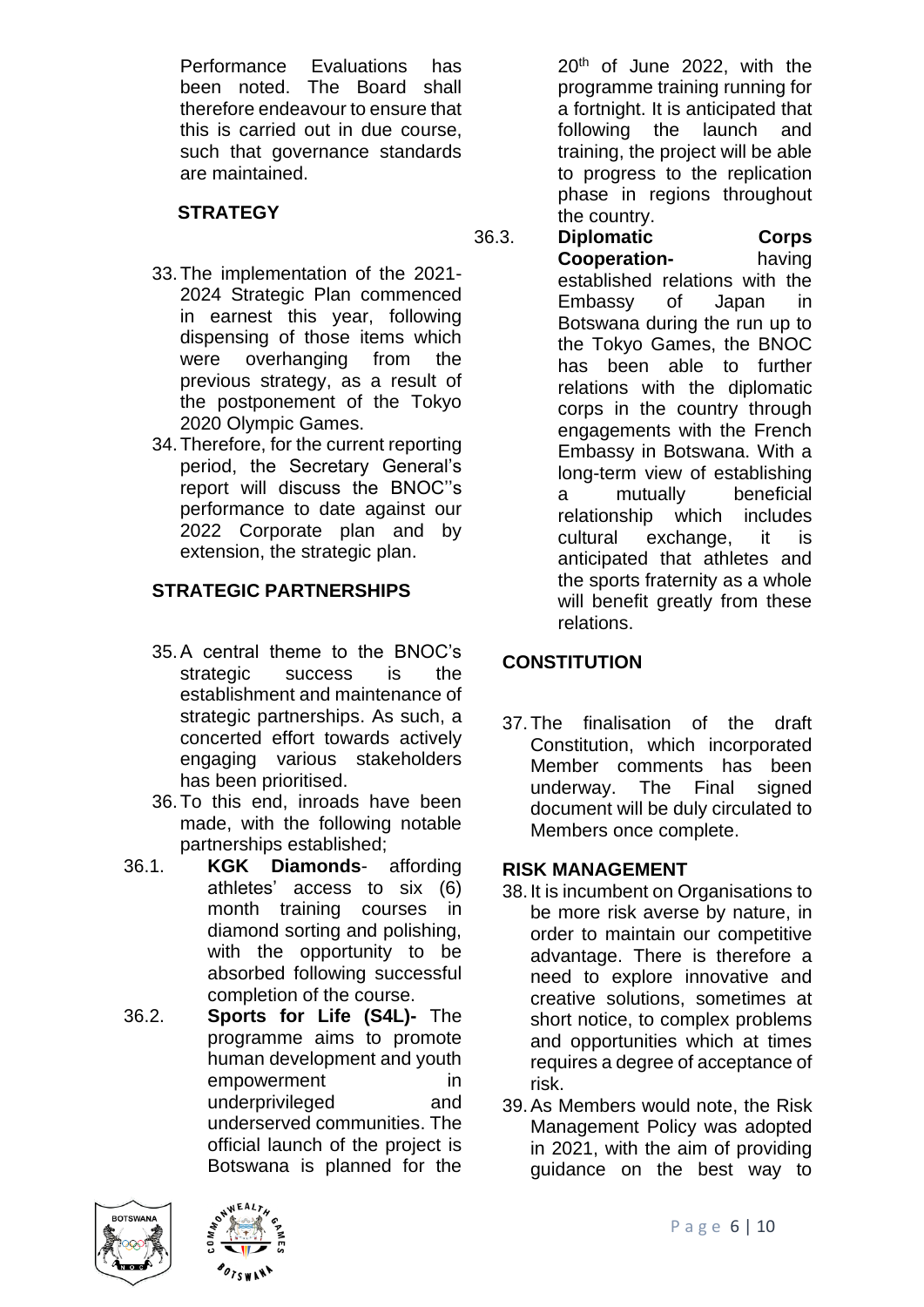Performance Evaluations has been noted. The Board shall therefore endeavour to ensure that this is carried out in due course, such that governance standards are maintained.

### **STRATEGY**

- 33.The implementation of the 2021- 2024 Strategic Plan commenced in earnest this year, following dispensing of those items which were overhanging from the previous strategy, as a result of the postponement of the Tokyo 2020 Olympic Games.
- 34.Therefore, for the current reporting period, the Secretary General's report will discuss the BNOC''s performance to date against our 2022 Corporate plan and by extension, the strategic plan.

# **STRATEGIC PARTNERSHIPS**

- 35.A central theme to the BNOC's strategic success is the establishment and maintenance of strategic partnerships. As such, a concerted effort towards actively engaging various stakeholders has been prioritised.
- 36.To this end, inroads have been made, with the following notable partnerships established;
- 36.1. **KGK Diamonds** affording athletes' access to six (6) month training courses in diamond sorting and polishing, with the opportunity to be absorbed following successful completion of the course.
- 36.2. **Sports for Life (S4L)-** The programme aims to promote human development and youth empowerment in underprivileged and underserved communities. The official launch of the project is Botswana is planned for the

20th of June 2022, with the programme training running for a fortnight. It is anticipated that following the launch and training, the project will be able to progress to the replication phase in regions throughout the country.

36.3. **Diplomatic Corps Cooperation-** having established relations with the Embassy of Japan in Botswana during the run up to the Tokyo Games, the BNOC has been able to further relations with the diplomatic corps in the country through engagements with the French Embassy in Botswana. With a long-term view of establishing a mutually beneficial relationship which includes cultural exchange, it is anticipated that athletes and the sports fraternity as a whole will benefit greatly from these relations.

# **CONSTITUTION**

37.The finalisation of the draft Constitution, which incorporated Member comments has been underway. The Final signed document will be duly circulated to Members once complete.

### **RISK MANAGEMENT**

- 38.It is incumbent on Organisations to be more risk averse by nature, in order to maintain our competitive advantage. There is therefore a need to explore innovative and creative solutions, sometimes at short notice, to complex problems and opportunities which at times requires a degree of acceptance of risk.
- 39.As Members would note, the Risk Management Policy was adopted in 2021, with the aim of providing guidance on the best way to



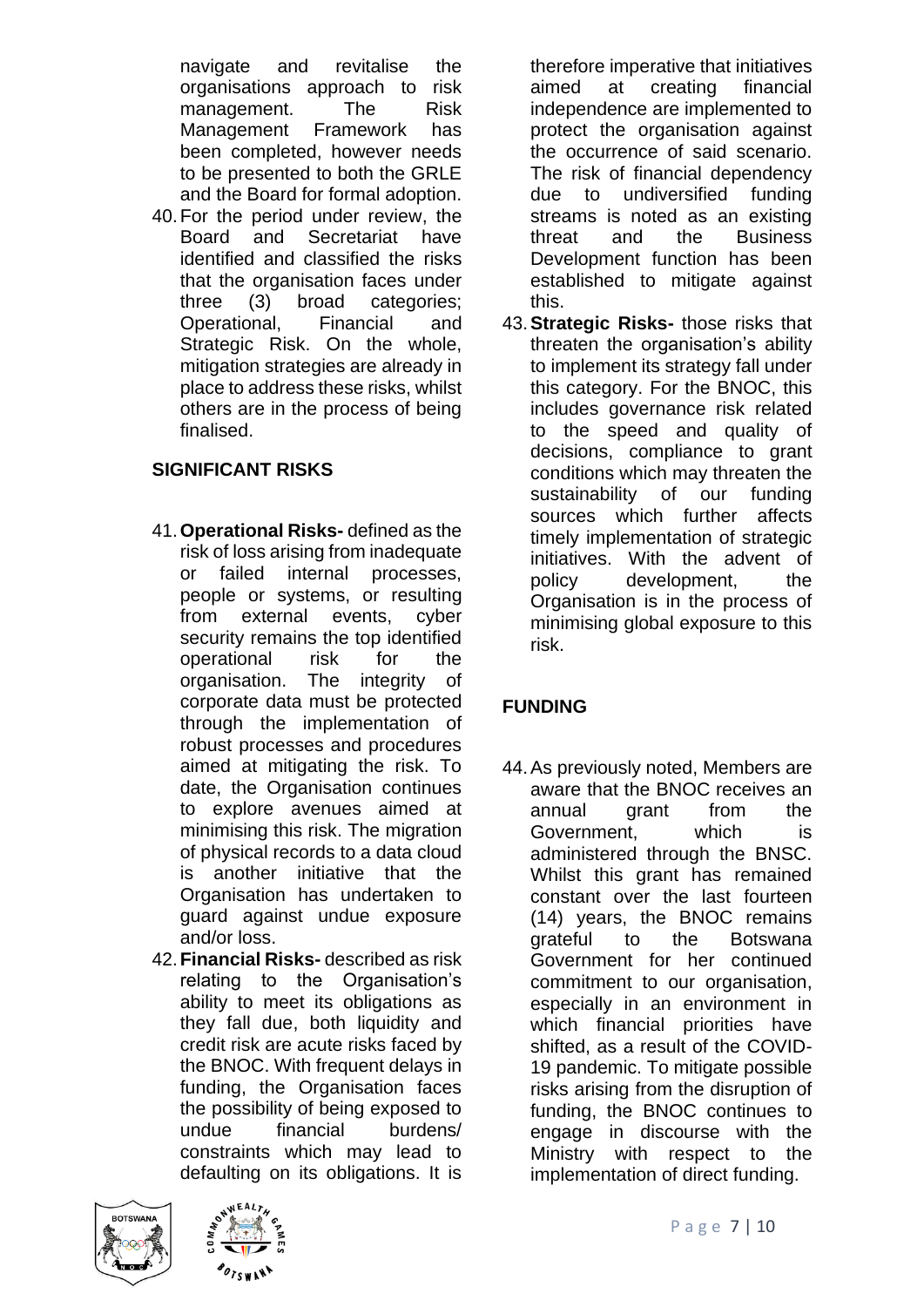navigate and revitalise the organisations approach to risk management. The Risk Management Framework has been completed, however needs to be presented to both the GRLE and the Board for formal adoption.

40.For the period under review, the Board and Secretariat have identified and classified the risks that the organisation faces under three (3) broad categories; Operational, Financial and Strategic Risk. On the whole, mitigation strategies are already in place to address these risks, whilst others are in the process of being finalised.

### **SIGNIFICANT RISKS**

- 41.**Operational Risks-** defined as the risk of loss arising from inadequate or failed internal processes, people or systems, or resulting from external events, cyber security remains the top identified operational risk for the organisation. The integrity of corporate data must be protected through the implementation of robust processes and procedures aimed at mitigating the risk. To date, the Organisation continues to explore avenues aimed at minimising this risk. The migration of physical records to a data cloud is another initiative that the Organisation has undertaken to guard against undue exposure and/or loss.
- 42.**Financial Risks-** described as risk relating to the Organisation's ability to meet its obligations as they fall due, both liquidity and credit risk are acute risks faced by the BNOC. With frequent delays in funding, the Organisation faces the possibility of being exposed to undue financial burdens/ constraints which may lead to defaulting on its obligations. It is

therefore imperative that initiatives aimed at creating financial independence are implemented to protect the organisation against the occurrence of said scenario. The risk of financial dependency due to undiversified funding streams is noted as an existing threat and the Business Development function has been established to mitigate against this.

43.**Strategic Risks-** those risks that threaten the organisation's ability to implement its strategy fall under this category. For the BNOC, this includes governance risk related to the speed and quality of decisions, compliance to grant conditions which may threaten the sustainability of our funding sources which further affects timely implementation of strategic initiatives. With the advent of policy development, the Organisation is in the process of minimising global exposure to this risk.

# **FUNDING**

44.As previously noted, Members are aware that the BNOC receives an annual grant from the Government, which is administered through the BNSC. Whilst this grant has remained constant over the last fourteen (14) years, the BNOC remains grateful to the Botswana Government for her continued commitment to our organisation, especially in an environment in which financial priorities have shifted, as a result of the COVID-19 pandemic. To mitigate possible risks arising from the disruption of funding, the BNOC continues to engage in discourse with the Ministry with respect to the implementation of direct funding.



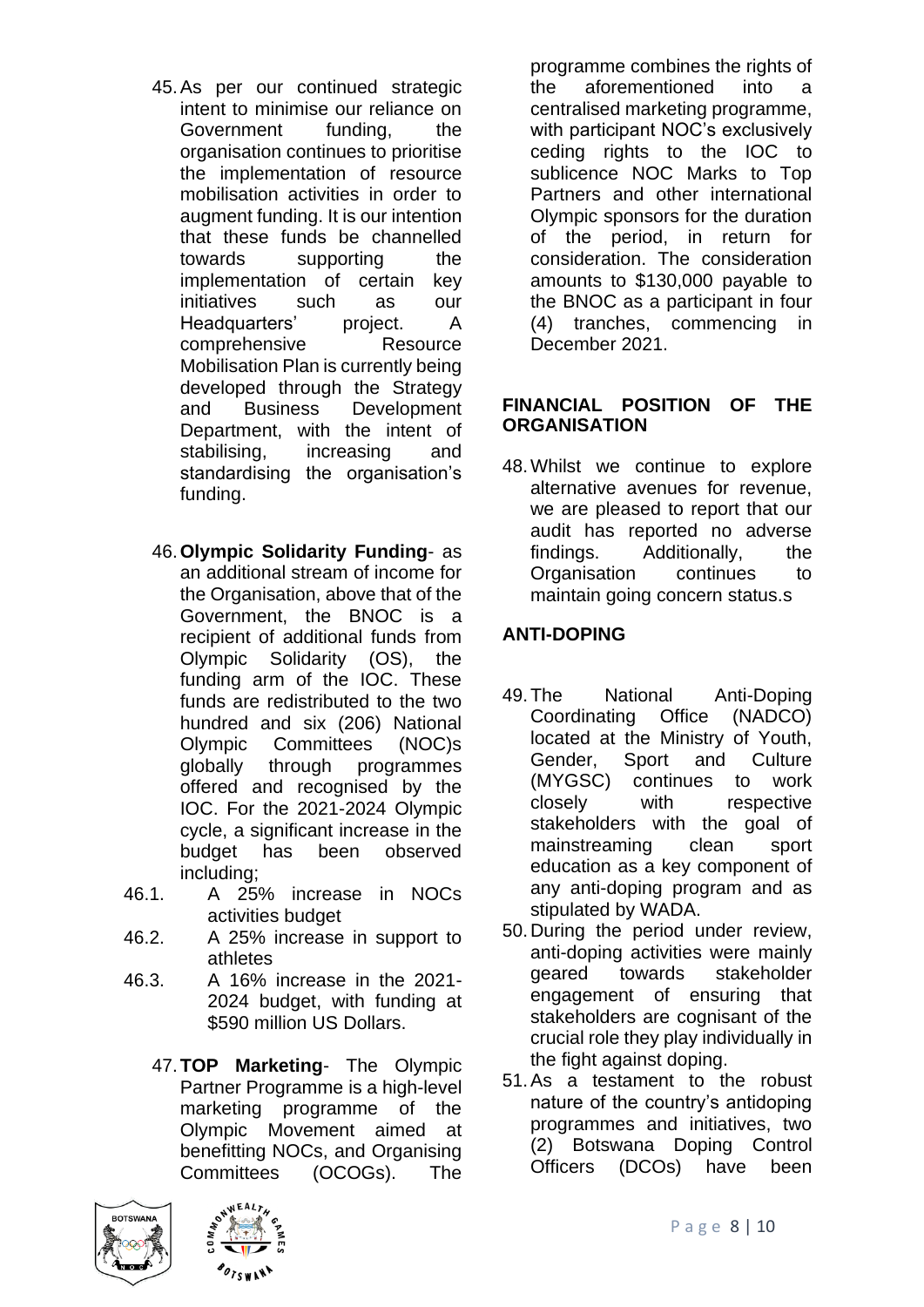- 45.As per our continued strategic intent to minimise our reliance on Government funding, the organisation continues to prioritise the implementation of resource mobilisation activities in order to augment funding. It is our intention that these funds be channelled towards supporting the implementation of certain key initiatives such as our Headquarters' project. A comprehensive Resource Mobilisation Plan is currently being developed through the Strategy and Business Development Department, with the intent of stabilising, increasing and standardising the organisation's funding.
- 46.**Olympic Solidarity Funding** as an additional stream of income for the Organisation, above that of the Government, the BNOC is a recipient of additional funds from Olympic Solidarity (OS), the funding arm of the IOC. These funds are redistributed to the two hundred and six (206) National Olympic Committees (NOC)s globally through programmes offered and recognised by the IOC. For the 2021-2024 Olympic cycle, a significant increase in the budget has been observed including;
- 46.1. A 25% increase in NOCs activities budget
- 46.2. A 25% increase in support to athletes
- 46.3. A 16% increase in the 2021- 2024 budget, with funding at \$590 million US Dollars.
	- 47.**TOP Marketing** The Olympic Partner Programme is a high-level marketing programme of the Olympic Movement aimed at benefitting NOCs, and Organising Committees (OCOGs). The





programme combines the rights of the aforementioned into a centralised marketing programme, with participant NOC's exclusively ceding rights to the IOC to sublicence NOC Marks to Top Partners and other international Olympic sponsors for the duration of the period, in return for consideration. The consideration amounts to \$130,000 payable to the BNOC as a participant in four (4) tranches, commencing in December 2021.

#### **FINANCIAL POSITION OF THE ORGANISATION**

48.Whilst we continue to explore alternative avenues for revenue, we are pleased to report that our audit has reported no adverse findings. Additionally, the Organisation continues to maintain going concern status.s

### **ANTI-DOPING**

- 49.The National Anti-Doping Coordinating Office (NADCO) located at the Ministry of Youth, Gender, Sport and Culture (MYGSC) continues to work closely with respective stakeholders with the goal of mainstreaming clean sport education as a key component of any anti-doping program and as stipulated by WADA.
- 50.During the period under review, anti-doping activities were mainly geared towards stakeholder engagement of ensuring that stakeholders are cognisant of the crucial role they play individually in the fight against doping.
- 51.As a testament to the robust nature of the country's antidoping programmes and initiatives, two (2) Botswana Doping Control Officers (DCOs) have been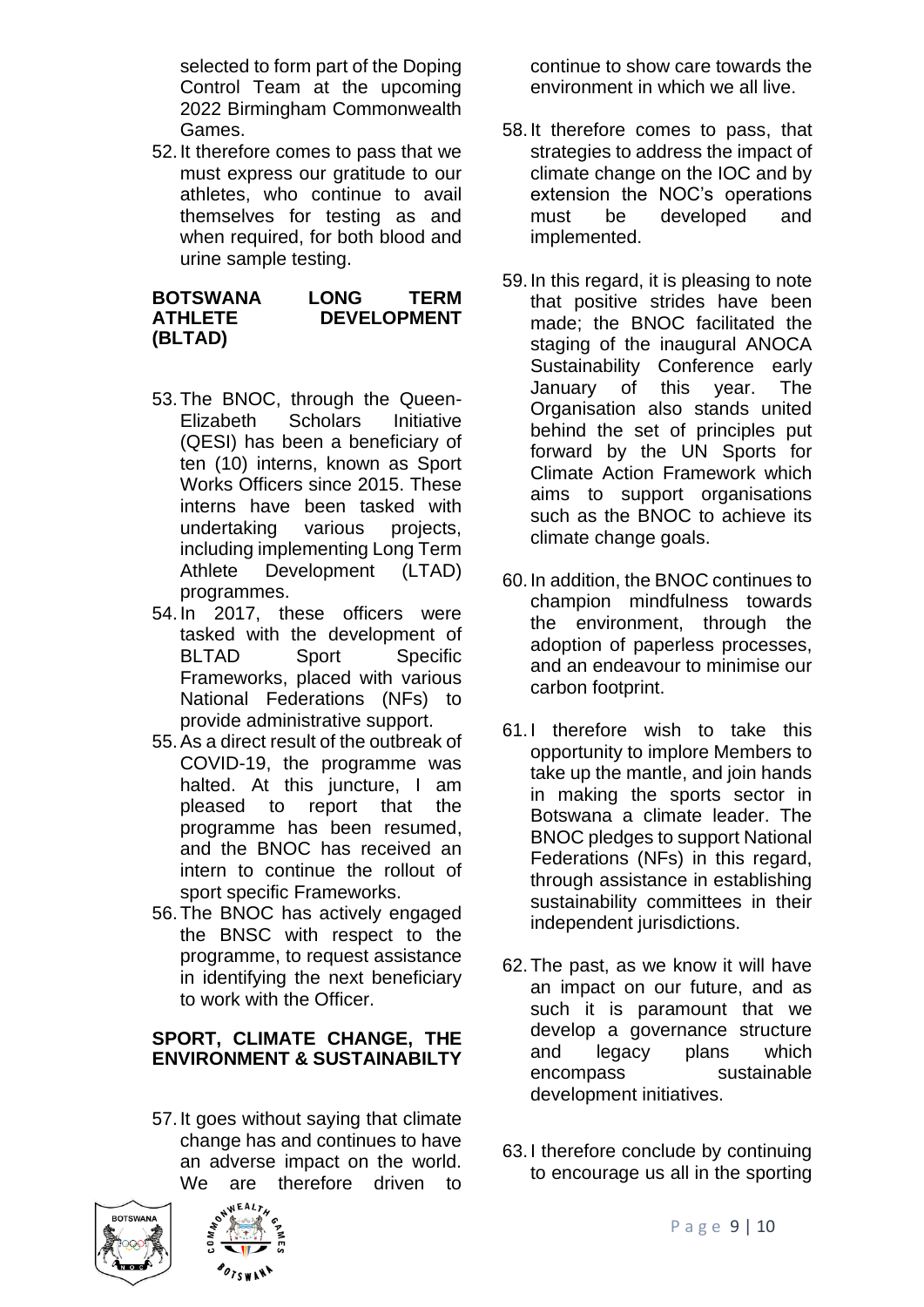selected to form part of the Doping Control Team at the upcoming 2022 Birmingham Commonwealth Games.

52.It therefore comes to pass that we must express our gratitude to our athletes, who continue to avail themselves for testing as and when required, for both blood and urine sample testing.

#### **BOTSWANA LONG TERM ATHLETE DEVELOPMENT (BLTAD)**

- 53.The BNOC, through the Queen-Elizabeth Scholars Initiative (QESI) has been a beneficiary of ten (10) interns, known as Sport Works Officers since 2015. These interns have been tasked with undertaking various projects, including implementing Long Term Athlete Development (LTAD) programmes.
- 54.In 2017, these officers were tasked with the development of BLTAD Sport Specific Frameworks, placed with various National Federations (NFs) to provide administrative support.
- 55.As a direct result of the outbreak of COVID-19, the programme was halted. At this juncture, I am pleased to report that the programme has been resumed, and the BNOC has received an intern to continue the rollout of sport specific Frameworks.
- 56.The BNOC has actively engaged the BNSC with respect to the programme, to request assistance in identifying the next beneficiary to work with the Officer.

#### **SPORT, CLIMATE CHANGE, THE ENVIRONMENT & SUSTAINABILTY**

57.It goes without saying that climate change has and continues to have an adverse impact on the world. We are therefore driven to





continue to show care towards the environment in which we all live.

- 58.It therefore comes to pass, that strategies to address the impact of climate change on the IOC and by extension the NOC's operations must be developed and implemented.
- 59.In this regard, it is pleasing to note that positive strides have been made; the BNOC facilitated the staging of the inaugural ANOCA Sustainability Conference early January of this year. The Organisation also stands united behind the set of principles put forward by the UN Sports for Climate Action Framework which aims to support organisations such as the BNOC to achieve its climate change goals.
- 60.In addition, the BNOC continues to champion mindfulness towards the environment, through the adoption of paperless processes, and an endeavour to minimise our carbon footprint.
- 61.I therefore wish to take this opportunity to implore Members to take up the mantle, and join hands in making the sports sector in Botswana a climate leader. The BNOC pledges to support National Federations (NFs) in this regard, through assistance in establishing sustainability committees in their independent jurisdictions.
- 62.The past, as we know it will have an impact on our future, and as such it is paramount that we develop a governance structure and legacy plans which encompass sustainable development initiatives.
- 63.I therefore conclude by continuing to encourage us all in the sporting